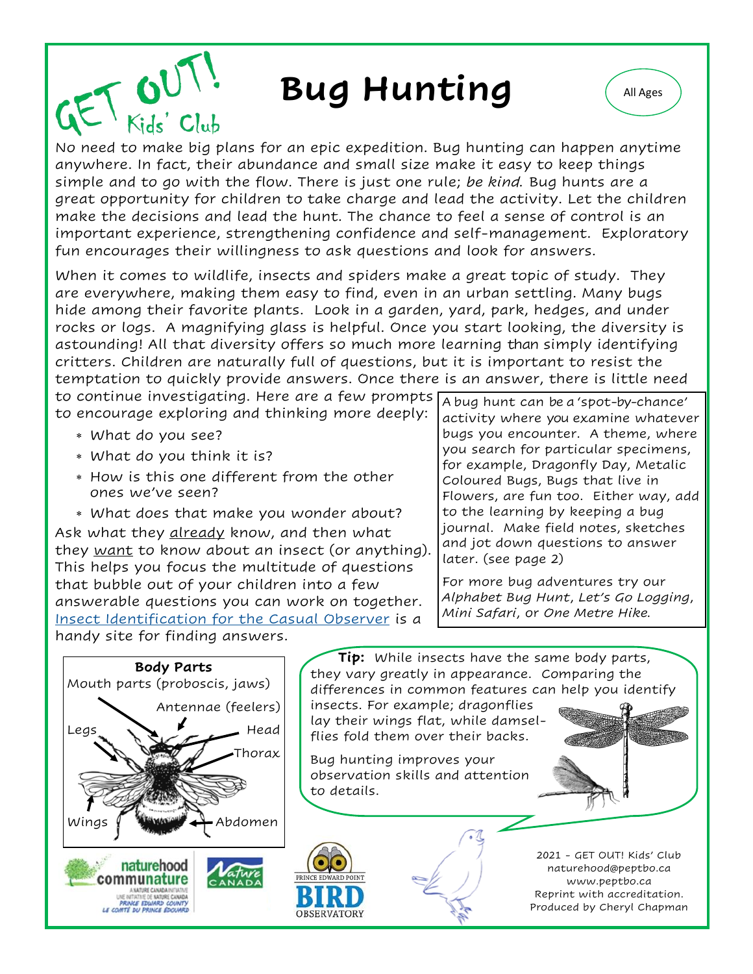## **Bug Hunting** (All Ages



No need to make big plans for an epic expedition. Bug hunting can happen anytime anywhere. In fact, their abundance and small size make it easy to keep things simple and to go with the flow. There is just one rule; *be kind.* Bug hunts are a great opportunity for children to take charge and lead the activity. Let the children make the decisions and lead the hunt. The chance to feel a sense of control is an important experience, strengthening confidence and self-management. Exploratory fun encourages their willingness to ask questions and look for answers.

When it comes to wildlife, insects and spiders make a great topic of study. They are everywhere, making them easy to find, even in an urban settling. Many bugs hide among their favorite plants. Look in a garden, yard, park, hedges, and under rocks or logs. A magnifying glass is helpful. Once you start looking, the diversity is astounding! All that diversity offers so much more learning than simply identifying critters. Children are naturally full of questions, but it is important to resist the temptation to quickly provide answers. Once there is an answer, there is little need

to continue investigating. Here are a few prompts to encourage exploring and thinking more deeply:

What do you see?

 $\omega$ 

- What do you think it is?
- How is this one different from the other ones we've seen?
- What does that make you wonder about?

Ask what they <u>already</u> know, and then what they <u>want</u> to know about an insect (or anything). This helps you focus the multitude of questions that bubble out of your children into a few answerable questions you can work on together. [Insect Identification for the Casual Observer](https://www.insectidentification.org/) is a handy site for finding answers.

A bug hunt can be a 'spot-by-chance' activity where you examine whatever bugs you encounter. A theme, where you search for particular specimens, for example, Dragonfly Day, Metalic Coloured Bugs, Bugs that live in Flowers, are fun too. Either way, add to the learning by keeping a bug journal. Make field notes, sketches and jot down questions to answer later. (see page 2)

For more bug adventures try our *Alphabet Bug Hunt*, *Let's Go Logging*, *Mini Safari*, or *One Metre Hike.*